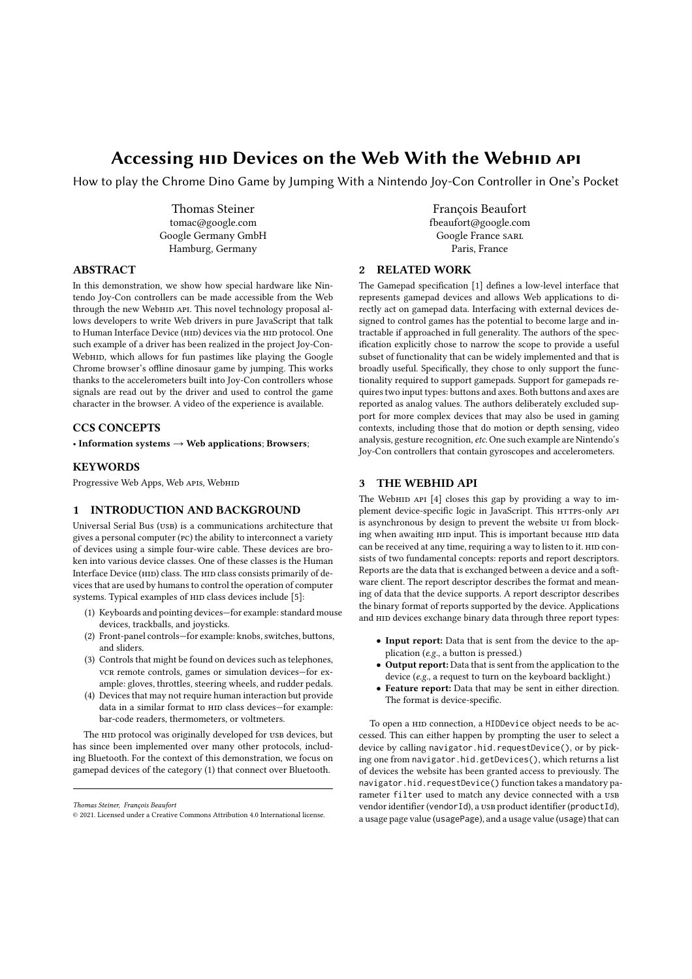# Accessing HID Devices on the Web With the WebHID API

How to play the Chrome Dino Game by Jumping With a Nintendo Joy-Con Controller in One's Pocket

Thomas Steiner tomac@google.com Google Germany GmbH Hamburg, Germany

## ABSTRACT

In this demonstration, we show how special hardware like Nintendo Joy-Con controllers can be made accessible from the Web through the new WebHID API. This novel technology proposal allows developers to write Web drivers in pure JavaScript that talk to Human Interface Device (HID) devices via the HID protocol. One such example of a driver has been realized in the project Joy-Con-WebнID, which allows for fun pastimes like playing the Google Chrome browser's offline dinosaur game by jumping. This works thanks to the accelerometers built into Joy-Con controllers whose signals are read out by the driver and used to control the game character in the browser. A video of the experience is available.

# CCS CONCEPTS

• Information systems  $\rightarrow$  Web applications; Browsers;

# **KEYWORDS**

Progressive Web Apps, Web APIs, WebHID

# 1 INTRODUCTION AND BACKGROUND

Universal Serial Bus (usb) is a communications architecture that gives a personal computer (pc) the ability to interconnect a variety of devices using a simple four-wire cable. These devices are broken into various device classes. One of these classes is the Human Interface Device (HID) class. The HID class consists primarily of devices that are used by humans to control the operation of computer systems. Typical examples of HID class devices include [5]:

- (1) Keyboards and pointing devices—for example: standard mouse devices, trackballs, and joysticks.
- (2) Front-panel controls—for example: knobs, switches, buttons, and sliders.
- (3) Controls that might be found on devices such as telephones, vcr remote controls, games or simulation devices—for example: gloves, throttles, steering wheels, and rudder pedals.
- (4) Devices that may not require human interaction but provide data in a similar format to HID class devices-for example: bar-code readers, thermometers, or voltmeters.

The HID protocol was originally developed for USB devices, but has since been implemented over many other protocols, including Bluetooth. For the context of this demonstration, we focus on gamepad devices of the category (1) that connect over Bluetooth.

François Beaufort fbeaufort@google.com Google France SARL Paris, France

# 2 RELATED WORK

The Gamepad specification [1] defines a low-level interface that represents gamepad devices and allows Web applications to directly act on gamepad data. Interfacing with external devices designed to control games has the potential to become large and intractable if approached in full generality. The authors of the specification explicitly chose to narrow the scope to provide a useful subset of functionality that can be widely implemented and that is broadly useful. Specifically, they chose to only support the functionality required to support gamepads. Support for gamepads requirestwo input types: buttons and axes. Both buttons and axes are reported as analog values. The authors deliberately excluded support for more complex devices that may also be used in gaming contexts, including those that do motion or depth sensing, video analysis, gesture recognition, etc. One such example are Nintendo's Joy-Con controllers that contain gyroscopes and accelerometers.

# 3 THE WEBHID API

The WebHID API  $[4]$  closes this gap by providing a way to implement device-specific logic in JavaScript. This HTTPS-only API is asynchronous by design to prevent the website ui from blocking when awaiting HID input. This is important because HID data can be received at any time, requiring a way to listen to it. HID consists of two fundamental concepts: reports and report descriptors. Reports are the data that is exchanged between a device and a software client. The report descriptor describes the format and meaning of data that the device supports. A report descriptor describes the binary format of reports supported by the device. Applications and HID devices exchange binary data through three report types:

- Input report: Data that is sent from the device to the application (*e.g.*, a button is pressed.)
- Output report: Data that is sent from the application to the device (*e.g.*, a request to turn on the keyboard backlight.)
- Feature report: Data that may be sent in either direction. The format is device-specific.

To open a hid connection, a HIDDevice object needs to be accessed. This can either happen by prompting the user to select a device by calling navigator.hid.requestDevice(), or by picking one from navigator.hid.getDevices(), which returns a list of devices the website has been granted access to previously. The navigator.hid.requestDevice() function takes a mandatory parameter filter used to match any device connected with a USB vendor identifier (vendorId), a usb product identifier (productId), a usage page value (usagePage), and a usage value (usage) that can

*Thomas Steiner, François Beaufort*

<sup>©</sup> 2021. Licensed under a Creative Commons Attribution 4.0 International license.